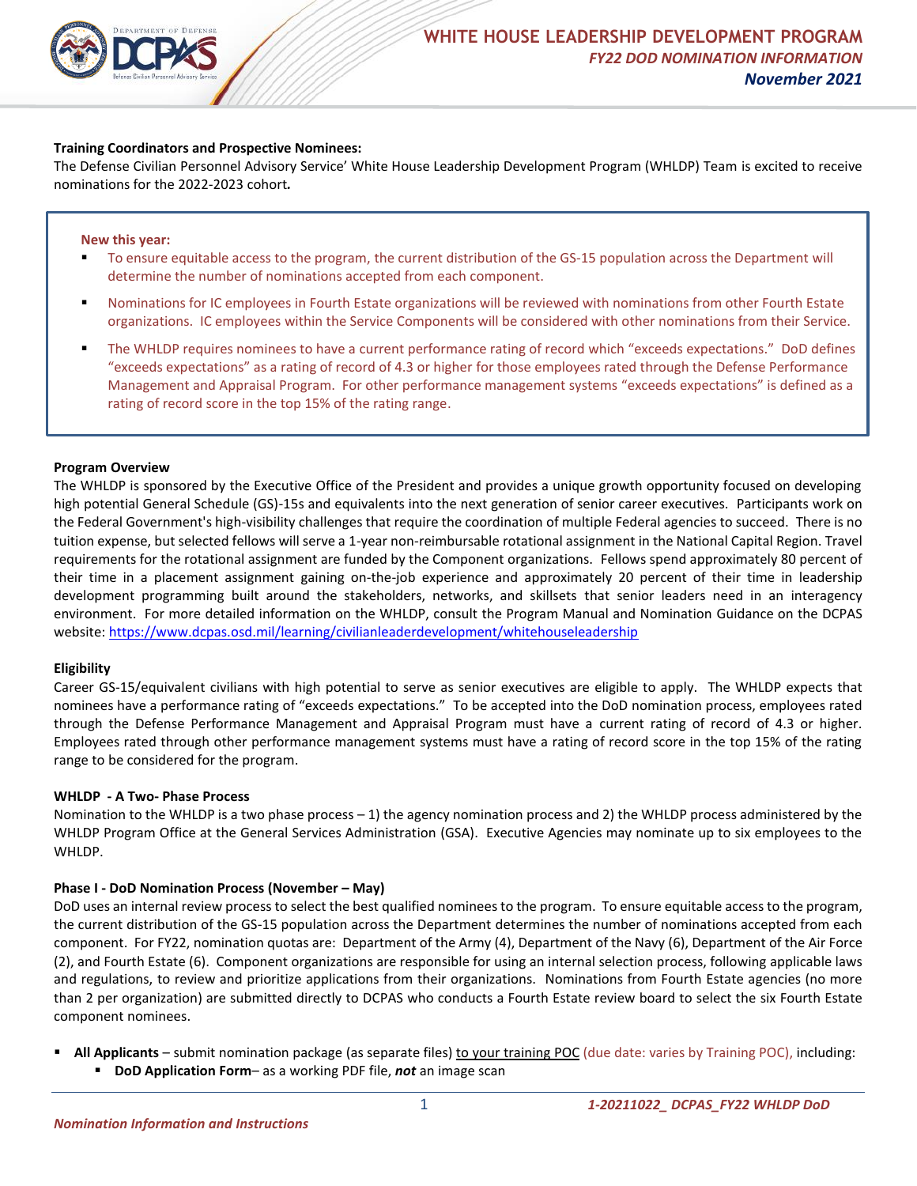

## **Training Coordinators and Prospective Nominees:**

The Defense Civilian Personnel Advisory Service' White House Leadership Development Program (WHLDP) Team is excited to receive nominations for the 2022-2023 cohort*.*

#### **New this year:**

- To ensure equitable access to the program, the current distribution of the GS-15 population across the Department will determine the number of nominations accepted from each component.
- Nominations for IC employees in Fourth Estate organizations will be reviewed with nominations from other Fourth Estate organizations. IC employees within the Service Components will be considered with other nominations from their Service.
- The WHLDP requires nominees to have a current performance rating of record which "exceeds expectations." DoD defines "exceeds expectations" as a rating of record of 4.3 or higher for those employees rated through the Defense Performance Management and Appraisal Program. For other performance management systems "exceeds expectations" is defined as a rating of record score in the top 15% of the rating range.

#### **Program Overview**

The WHLDP is sponsored by the Executive Office of the President and provides a unique growth opportunity focused on developing high potential General Schedule (GS)-15s and equivalents into the next generation of senior career executives. Participants work on the Federal Government's high-visibility challenges that require the coordination of multiple Federal agencies to succeed. There is no tuition expense, but selected fellows will serve a 1-year non-reimbursable rotational assignment in the National Capital Region. Travel requirements for the rotational assignment are funded by the Component organizations. Fellows spend approximately 80 percent of their time in a placement assignment gaining on-the-job experience and approximately 20 percent of their time in leadership development programming built around the stakeholders, networks, and skillsets that senior leaders need in an interagency environment. For more detailed information on the WHLDP, consult the Program Manual and Nomination Guidance on the DCPAS website: <https://www.dcpas.osd.mil/learning/civilianleaderdevelopment/whitehouseleadership>

### **Eligibility**

Career GS-15/equivalent civilians with high potential to serve as senior executives are eligible to apply. The WHLDP expects that nominees have a performance rating of "exceeds expectations." To be accepted into the DoD nomination process, employees rated through the Defense Performance Management and Appraisal Program must have a current rating of record of 4.3 or higher. Employees rated through other performance management systems must have a rating of record score in the top 15% of the rating range to be considered for the program.

### **WHLDP - A Two- Phase Process**

Nomination to the WHLDP is a two phase process – 1) the agency nomination process and 2) the WHLDP process administered by the WHLDP Program Office at the General Services Administration (GSA). Executive Agencies may nominate up to six employees to the WHLDP.

### **Phase I - DoD Nomination Process (November – May)**

DoD uses an internal review process to select the best qualified nominees to the program. To ensure equitable access to the program, the current distribution of the GS-15 population across the Department determines the number of nominations accepted from each component. For FY22, nomination quotas are: Department of the Army (4), Department of the Navy (6), Department of the Air Force (2), and Fourth Estate (6). Component organizations are responsible for using an internal selection process, following applicable laws and regulations, to review and prioritize applications from their organizations. Nominations from Fourth Estate agencies (no more than 2 per organization) are submitted directly to DCPAS who conducts a Fourth Estate review board to select the six Fourth Estate component nominees.

 **All Applicants** – submit nomination package (as separate files) to your training POC (due date: varies by Training POC), including: **DoD Application Form**– as a working PDF file, *not* an image scan